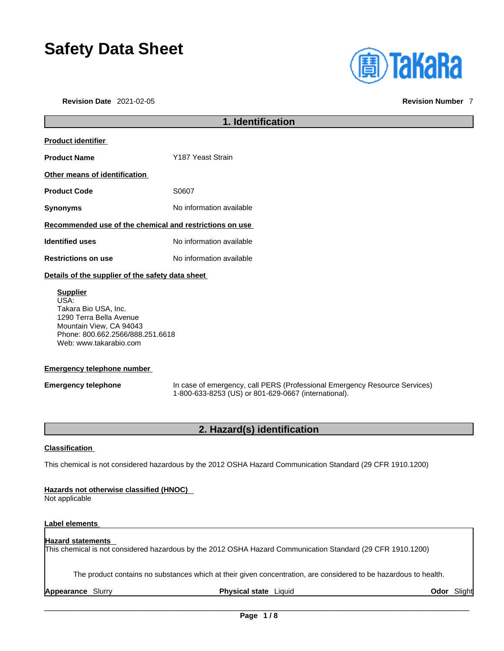# **Safety Data Sheet**

**Revision Date** 2021-02-05 **Revision Number** 7

| <b>((</b> a) TaKaRa |
|---------------------|
|                     |

|                                                         | 1. Identification        |  |
|---------------------------------------------------------|--------------------------|--|
| <b>Product identifier</b>                               |                          |  |
| <b>Product Name</b>                                     | Y187 Yeast Strain        |  |
| Other means of identification                           |                          |  |
| <b>Product Code</b>                                     | S0607                    |  |
| <b>Synonyms</b>                                         | No information available |  |
| Recommended use of the chemical and restrictions on use |                          |  |
| <b>Identified uses</b>                                  | No information available |  |
| <b>Restrictions on use</b>                              | No information available |  |
|                                                         |                          |  |

#### **Details of the supplier of the safety data sheet**

**Supplier** USA: Takara Bio USA, Inc. 1290 Terra Bella Avenue Mountain View, CA 94043 Phone: 800.662.2566/888.251.6618 Web: www.takarabio.com

#### **Emergency telephone number**

**Emergency telephone** In case of emergency, call PERS (Professional Emergency Resource Services) 1-800-633-8253 (US) or 801-629-0667 (international).

# **2. Hazard(s) identification**

#### **Classification**

This chemical is not considered hazardous by the 2012 OSHA Hazard Communication Standard (29 CFR 1910.1200)

#### **Hazards not otherwise classified (HNOC)**

Not applicable

#### **Label elements**

#### **Hazard statements**

This chemical is not considered hazardous by the 2012 OSHA Hazard Communication Standard (29 CFR 1910.1200)

The product contains no substances which at their given concentration, are considered to be hazardous to health.

**Appearance** Slurry **Physical state** Liquid **Odor** Slight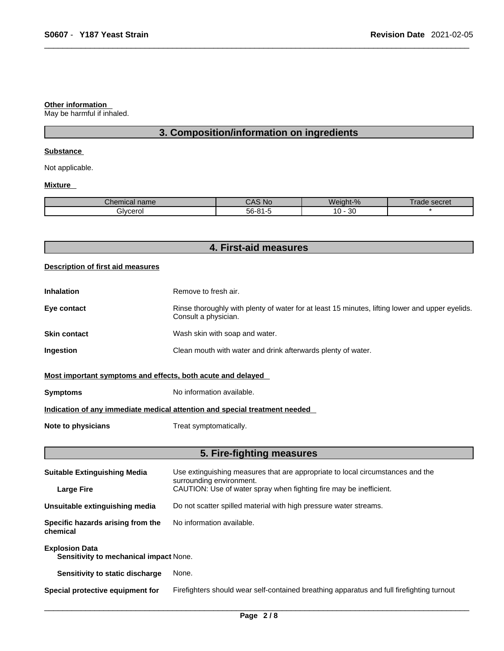#### **Other information**

May be harmful if inhaled.

# **3. Composition/information on ingredients**

#### **Substance**

Not applicable.

#### **Mixture**

| $\sim$<br>nme<br>Jner<br>nıcaı name | .No                            | $\sim$<br>$\Omega$<br>.No<br>eiaht·<br>$\cdot 70$ | secret<br>ลดเ |
|-------------------------------------|--------------------------------|---------------------------------------------------|---------------|
| Bivcerol                            | $-\sim$<br>o,<br>-רי<br>ີ<br>. | n o<br>0<br>υc                                    |               |

| 4. First-aid measures |  |
|-----------------------|--|
|                       |  |

#### **Description of first aid measures**

| <b>Inhalation</b> | Remove to fresh air.                                                                                                    |
|-------------------|-------------------------------------------------------------------------------------------------------------------------|
| Eye contact       | Rinse thoroughly with plenty of water for at least 15 minutes, lifting lower and upper eyelids.<br>Consult a physician. |
| Skin contact      | Wash skin with soap and water.                                                                                          |
| Ingestion         | Clean mouth with water and drink afterwards plenty of water.                                                            |
|                   |                                                                                                                         |

### **Most important symptoms and effects, both acute and delayed**

**Symptoms** No information available.

### **Indication of any immediate medical attention and special treatment needed**

**Note to physicians** Treat symptomatically.

# **5. Fire-fighting measures**

| <b>Suitable Extinguishing Media</b>                             | Use extinguishing measures that are appropriate to local circumstances and the<br>surrounding environment. |  |  |
|-----------------------------------------------------------------|------------------------------------------------------------------------------------------------------------|--|--|
| <b>Large Fire</b>                                               | CAUTION: Use of water spray when fighting fire may be inefficient.                                         |  |  |
| Unsuitable extinguishing media                                  | Do not scatter spilled material with high pressure water streams.                                          |  |  |
| Specific hazards arising from the<br>chemical                   | No information available.                                                                                  |  |  |
| <b>Explosion Data</b><br>Sensitivity to mechanical impact None. |                                                                                                            |  |  |
| Sensitivity to static discharge                                 | None.                                                                                                      |  |  |
| Special protective equipment for                                | Firefighters should wear self-contained breathing apparatus and full firefighting turnout                  |  |  |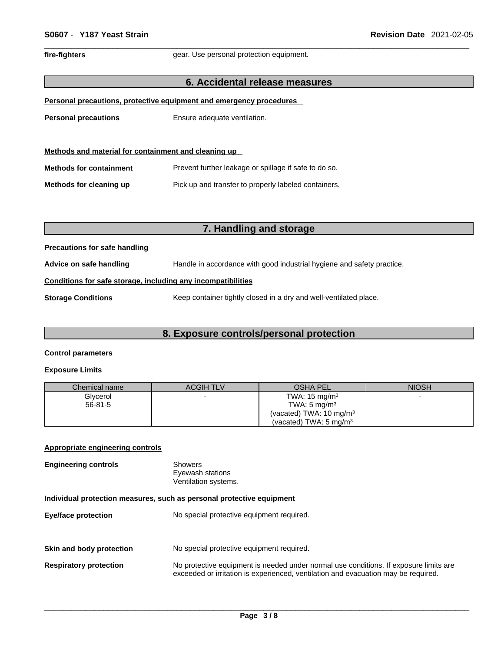fire-fighters **gear.** Use personal protection equipment.

#### **6. Accidental release measures**

| Personal precautions, protective equipment and emergency procedures |  |
|---------------------------------------------------------------------|--|
|---------------------------------------------------------------------|--|

**Personal precautions** Ensure adequate ventilation.

| Methods and material for containment and cleaning up |                                                       |  |  |
|------------------------------------------------------|-------------------------------------------------------|--|--|
| <b>Methods for containment</b>                       | Prevent further leakage or spillage if safe to do so. |  |  |
| Methods for cleaning up                              | Pick up and transfer to properly labeled containers.  |  |  |

# **7. Handling and storage**

#### **Precautions for safe handling**

**Advice on safe handling** Handle in accordance with good industrial hygiene and safety practice.

#### **Conditions for safe storage, including any incompatibilities**

**Storage Conditions** Keep container tightly closed in a dry and well-ventilated place.

#### **8. Exposure controls/personal protection**

#### **Control parameters**

#### **Exposure Limits**

| Chemical name | <b>ACGIH TLV</b> | <b>OSHA PEL</b>                    | <b>NIOSH</b> |
|---------------|------------------|------------------------------------|--------------|
| Glycerol      |                  | TWA: $15 \text{ mg/m}^3$           |              |
| $56-81-5$     |                  | TWA: $5 \text{ mg/m}^3$            |              |
|               |                  | (vacated) TWA: $10 \text{ mg/m}^3$ |              |
|               |                  | (vacated) TWA: $5 \text{ mg/m}^3$  |              |

#### **Appropriate engineering controls**

| <b>Engineering controls</b> | Showers              |
|-----------------------------|----------------------|
|                             | Eyewash stations     |
|                             | Ventilation systems. |

#### **Individual protection measures, such as personal protective equipment**

| <b>Eye/face protection</b>    | No special protective equipment required.                                                                                                                                   |
|-------------------------------|-----------------------------------------------------------------------------------------------------------------------------------------------------------------------------|
| Skin and body protection      | No special protective equipment required.                                                                                                                                   |
| <b>Respiratory protection</b> | No protective equipment is needed under normal use conditions. If exposure limits are<br>exceeded or irritation is experienced, ventilation and evacuation may be required. |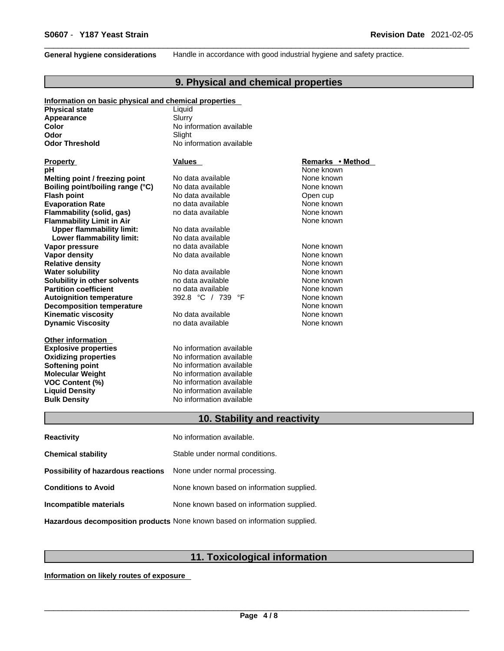**General hygiene considerations** Handle in accordance with good industrial hygiene and safety practice.

# **9. Physical and chemical properties**

| Information on basic physical and chemical properties |                              |                  |  |
|-------------------------------------------------------|------------------------------|------------------|--|
| <b>Physical state</b>                                 | Liquid                       |                  |  |
| Appearance                                            | Slurry                       |                  |  |
| Color                                                 | No information available     |                  |  |
| Odor                                                  | Slight                       |                  |  |
| <b>Odor Threshold</b>                                 | No information available     |                  |  |
| <b>Property</b>                                       | Values                       | Remarks • Method |  |
| рH                                                    |                              | None known       |  |
| Melting point / freezing point                        | No data available            | None known       |  |
| Boiling point/boiling range (°C)                      | No data available            | None known       |  |
| <b>Flash point</b>                                    | No data available            | Open cup         |  |
| <b>Evaporation Rate</b>                               | no data available            | None known       |  |
| Flammability (solid, gas)                             | no data available            | None known       |  |
| <b>Flammability Limit in Air</b>                      |                              | None known       |  |
| <b>Upper flammability limit:</b>                      | No data available            |                  |  |
| Lower flammability limit:                             | No data available            |                  |  |
| Vapor pressure                                        | no data available            | None known       |  |
| Vapor density                                         | No data available            | None known       |  |
| <b>Relative density</b>                               |                              | None known       |  |
| <b>Water solubility</b>                               | No data available            | None known       |  |
| Solubility in other solvents                          | no data available            | None known       |  |
| <b>Partition coefficient</b>                          | no data available            | None known       |  |
| <b>Autoignition temperature</b>                       | 392.8 °C / 739 °F            | None known       |  |
| <b>Decomposition temperature</b>                      |                              | None known       |  |
| <b>Kinematic viscosity</b>                            | No data available            | None known       |  |
| <b>Dynamic Viscosity</b>                              | no data available            | None known       |  |
| <b>Other information</b>                              |                              |                  |  |
| <b>Explosive properties</b>                           | No information available     |                  |  |
| <b>Oxidizing properties</b>                           | No information available     |                  |  |
| Softening point                                       | No information available     |                  |  |
| <b>Molecular Weight</b>                               | No information available     |                  |  |
| <b>VOC Content (%)</b>                                | No information available     |                  |  |
| <b>Liquid Density</b>                                 | No information available     |                  |  |
| <b>Bulk Density</b>                                   | No information available     |                  |  |
|                                                       | 10. Stability and reactivity |                  |  |
| <b>Reactivity</b>                                     | No information available.    |                  |  |

| <b>Chemical stability</b>                                               | Stable under normal conditions.           |
|-------------------------------------------------------------------------|-------------------------------------------|
| <b>Possibility of hazardous reactions</b> None under normal processing. |                                           |
| <b>Conditions to Avoid</b>                                              | None known based on information supplied. |
| Incompatible materials                                                  | None known based on information supplied. |
|                                                                         |                                           |

**Hazardous decomposition products** None known based on information supplied.

# **11. Toxicological information**

**Information on likely routes of exposure**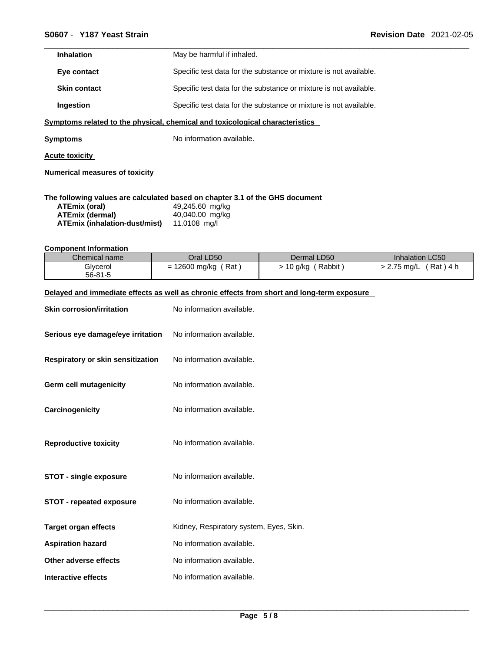| <b>Inhalation</b>   | May be harmful if inhaled.                                        |
|---------------------|-------------------------------------------------------------------|
| Eye contact         | Specific test data for the substance or mixture is not available. |
| <b>Skin contact</b> | Specific test data for the substance or mixture is not available. |
| <b>Ingestion</b>    | Specific test data for the substance or mixture is not available. |
|                     |                                                                   |

### **<u>Symptoms related to the physical, chemical and toxicological characteristics</u>**

**Symptoms** No information available.

**Acute toxicity**

**Numerical measures of toxicity**

#### **The following values are calculated based on chapter 3.1 of the GHS document**

| ATEmix (oral)                 | 49,245.60 mg/kg |
|-------------------------------|-----------------|
| ATEmix (dermal)               | 40,040.00 mg/kg |
| ATEmix (inhalation-dust/mist) | 11.0108 ma/l    |

#### **Component Information**

| Chemical name | Oral LD50          | Dermal LD50       | Inhalation LC50        |
|---------------|--------------------|-------------------|------------------------|
| Glycerol      | Rat<br>12600 mg/kg | Rabbit<br>10 g/kg | Rat ) 4 h<br>2.75 mg/L |
| $56 - 81 - 5$ |                    |                   |                        |

#### **Delayed and immediate effects as well as chronic effects from short and long-term exposure**

| <b>Skin corrosion/irritation</b>  | No information available.               |
|-----------------------------------|-----------------------------------------|
| Serious eye damage/eye irritation | No information available.               |
| Respiratory or skin sensitization | No information available.               |
| <b>Germ cell mutagenicity</b>     | No information available.               |
| Carcinogenicity                   | No information available.               |
| <b>Reproductive toxicity</b>      | No information available.               |
| <b>STOT - single exposure</b>     | No information available.               |
| <b>STOT - repeated exposure</b>   | No information available.               |
| <b>Target organ effects</b>       | Kidney, Respiratory system, Eyes, Skin. |
| <b>Aspiration hazard</b>          | No information available.               |
| Other adverse effects             | No information available.               |
| Interactive effects               | No information available.               |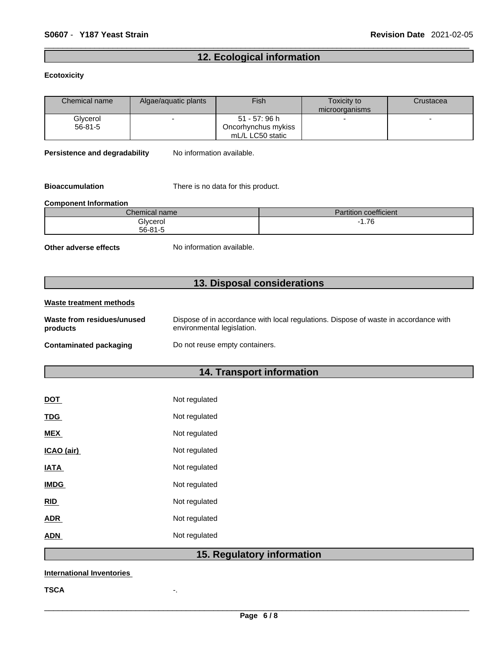# **12. Ecological information**

#### **Ecotoxicity**

| Chemical name | Algae/aquatic plants | Fish                | Toxicity to    | Crustacea |
|---------------|----------------------|---------------------|----------------|-----------|
|               |                      |                     | microorganisms |           |
| Glycerol      |                      | 51 - 57: 96 h       |                |           |
| $56 - 81 - 5$ |                      | Oncorhynchus mykiss |                |           |
|               |                      | mL/L LC50 static    |                |           |

**Persistence and degradability** No information available.

**Bioaccumulation** There is no data for this product.

#### **Component Information**

| $\sim$<br>$\mathcal L$ hemical name | coefficient<br>$-1$<br>Partition |
|-------------------------------------|----------------------------------|
| Glycerol                            | 1.76<br>. .                      |
| 56-81-5                             |                                  |

**Other adverse effects** No information available.

# **13. Disposal considerations**

#### **Waste treatment methods Waste from residues/unused products**  Dispose of in accordance with local regulations. Dispose of waste in accordance with environmental legislation. **Contaminated packaging** Do not reuse empty containers.

# **14. Transport information**

| <b>DOT</b>  | Not regulated |
|-------------|---------------|
| <b>TDG</b>  | Not regulated |
| <b>MEX</b>  | Not regulated |
| ICAO (air)  | Not regulated |
| IATA        | Not regulated |
| <b>IMDG</b> | Not regulated |
| <b>RID</b>  | Not regulated |
| ADR         | Not regulated |
| ADN         | Not regulated |
|             |               |

# **15. Regulatory information**

#### **International Inventories**

**TSCA** -.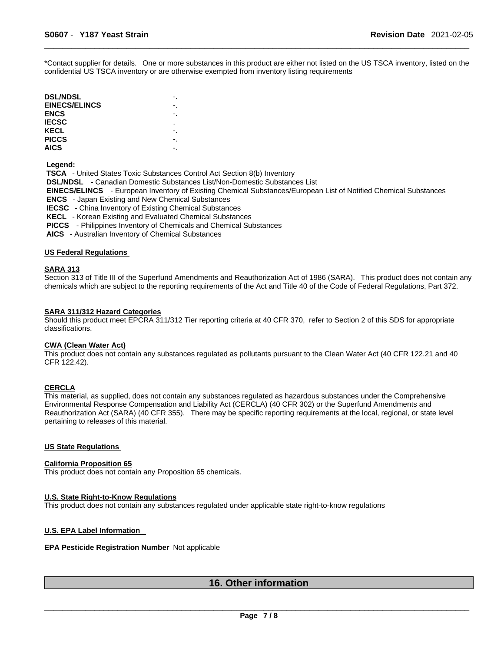\*Contact supplier for details. One or more substances in this product are either not listed on the US TSCA inventory, listed on the confidential US TSCA inventory or are otherwise exempted from inventory listing requirements

| -. |  |
|----|--|
|    |  |
| ٠  |  |
|    |  |
|    |  |
|    |  |
|    |  |

 **Legend:** 

 **TSCA** - United States Toxic Substances Control Act Section 8(b) Inventory  **DSL/NDSL** - Canadian Domestic Substances List/Non-Domestic Substances List  **EINECS/ELINCS** - European Inventory of Existing Chemical Substances/European List of Notified Chemical Substances  **ENCS** - Japan Existing and New Chemical Substances  **IECSC** - China Inventory of Existing Chemical Substances  **KECL** - Korean Existing and Evaluated Chemical Substances  **PICCS** - Philippines Inventory of Chemicals and Chemical Substances

 **AICS** - Australian Inventory of Chemical Substances

#### **US Federal Regulations**

#### **SARA 313**

Section 313 of Title III of the Superfund Amendments and Reauthorization Act of 1986 (SARA). This product does not contain any chemicals which are subject to the reporting requirements of the Act and Title 40 of the Code of Federal Regulations, Part 372.

#### **SARA 311/312 Hazard Categories**

Should this product meet EPCRA 311/312 Tier reporting criteria at 40 CFR 370, refer to Section 2 of this SDS for appropriate classifications.

#### **CWA (Clean WaterAct)**

This product does not contain any substances regulated as pollutants pursuant to the Clean Water Act (40 CFR 122.21 and 40 CFR 122.42).

#### **CERCLA**

This material, as supplied, does not contain any substances regulated as hazardous substances under the Comprehensive Environmental Response Compensation and Liability Act (CERCLA) (40 CFR 302) or the Superfund Amendments and Reauthorization Act (SARA) (40 CFR 355). There may be specific reporting requirements at the local, regional, or state level pertaining to releases of this material.

#### **US State Regulations**

#### **California Proposition 65**

This product does not contain any Proposition 65 chemicals.

#### **U.S. State Right-to-Know Regulations**

This product does not contain any substances regulated under applicable state right-to-know regulations

#### **U.S. EPA Label Information**

#### **EPA Pesticide Registration Number** Not applicable

## **16. Other information**